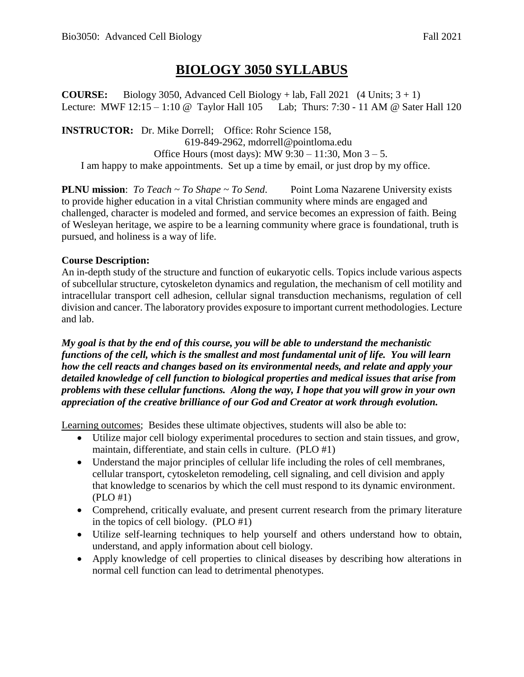## **BIOLOGY 3050 SYLLABUS**

**COURSE:** Biology 3050, Advanced Cell Biology + lab, Fall 2021 (4 Units;  $3 + 1$ ) Lecture: MWF 12:15 – 1:10 @ Taylor Hall 105 Lab; Thurs: 7:30 - 11 AM @ Sater Hall 120

**INSTRUCTOR:** Dr. Mike Dorrell; Office: Rohr Science 158, 619-849-2962, mdorrell@pointloma.edu Office Hours (most days): MW  $9:30 - 11:30$ , Mon  $3 - 5$ . I am happy to make appointments. Set up a time by email, or just drop by my office.

**PLNU mission**: *To Teach ~ To Shape ~ To Send*. Point Loma Nazarene University exists to provide higher education in a vital Christian community where minds are engaged and challenged, character is modeled and formed, and service becomes an expression of faith. Being of Wesleyan heritage, we aspire to be a learning community where grace is foundational, truth is pursued, and holiness is a way of life.

#### **Course Description:**

An in-depth study of the structure and function of eukaryotic cells. Topics include various aspects of subcellular structure, cytoskeleton dynamics and regulation, the mechanism of cell motility and intracellular transport cell adhesion, cellular signal transduction mechanisms, regulation of cell division and cancer. The laboratory provides exposure to important current methodologies. Lecture and lab.

*My goal is that by the end of this course, you will be able to understand the mechanistic functions of the cell, which is the smallest and most fundamental unit of life. You will learn how the cell reacts and changes based on its environmental needs, and relate and apply your detailed knowledge of cell function to biological properties and medical issues that arise from problems with these cellular functions. Along the way, I hope that you will grow in your own appreciation of the creative brilliance of our God and Creator at work through evolution.* 

Learning outcomes; Besides these ultimate objectives, students will also be able to:

- Utilize major cell biology experimental procedures to section and stain tissues, and grow, maintain, differentiate, and stain cells in culture. (PLO #1)
- Understand the major principles of cellular life including the roles of cell membranes, cellular transport, cytoskeleton remodeling, cell signaling, and cell division and apply that knowledge to scenarios by which the cell must respond to its dynamic environment. (PLO #1)
- Comprehend, critically evaluate, and present current research from the primary literature in the topics of cell biology. (PLO #1)
- Utilize self-learning techniques to help yourself and others understand how to obtain, understand, and apply information about cell biology.
- Apply knowledge of cell properties to clinical diseases by describing how alterations in normal cell function can lead to detrimental phenotypes.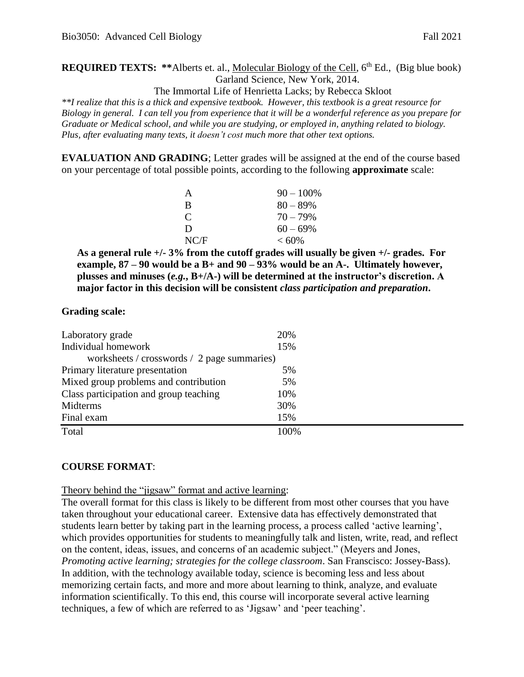**REQUIRED TEXTS:** \*\*Alberts et. al., Molecular Biology of the Cell, 6<sup>th</sup> Ed., (Big blue book) Garland Science, New York, 2014.

The Immortal Life of Henrietta Lacks; by Rebecca Skloot

*\*\*I realize that this is a thick and expensive textbook. However, this textbook is a great resource for Biology in general. I can tell you from experience that it will be a wonderful reference as you prepare for Graduate or Medical school, and while you are studying, or employed in, anything related to biology. Plus, after evaluating many texts, it doesn't cost much more that other text options.* 

**EVALUATION AND GRADING**; Letter grades will be assigned at the end of the course based on your percentage of total possible points, according to the following **approximate** scale:

| A                           | $90 - 100\%$ |
|-----------------------------|--------------|
| R                           | $80 - 89\%$  |
| $\mathcal{C}_{\mathcal{C}}$ | $70 - 79\%$  |
| D                           | $60 - 69\%$  |
| NC/F                        | $<60\%$      |

**As a general rule +/- 3% from the cutoff grades will usually be given +/- grades. For example, 87 – 90 would be a B+ and 90 – 93% would be an A-. Ultimately however, plusses and minuses (***e.g.***, B+/A-) will be determined at the instructor's discretion. A major factor in this decision will be consistent** *class participation and preparation***.** 

#### **Grading scale:**

| Laboratory grade                            | 20%  |  |  |  |
|---------------------------------------------|------|--|--|--|
| Individual homework                         | 15%  |  |  |  |
| worksheets / crosswords / 2 page summaries) |      |  |  |  |
| Primary literature presentation             | 5%   |  |  |  |
| Mixed group problems and contribution       | 5%   |  |  |  |
| Class participation and group teaching      | 10%  |  |  |  |
| Midterms                                    | 30%  |  |  |  |
| Final exam                                  | 15%  |  |  |  |
| Total                                       | 100% |  |  |  |

#### **COURSE FORMAT**:

Theory behind the "jigsaw" format and active learning:

The overall format for this class is likely to be different from most other courses that you have taken throughout your educational career. Extensive data has effectively demonstrated that students learn better by taking part in the learning process, a process called 'active learning', which provides opportunities for students to meaningfully talk and listen, write, read, and reflect on the content, ideas, issues, and concerns of an academic subject." (Meyers and Jones, *Promoting active learning; strategies for the college classroom*. San Franscisco: Jossey-Bass). In addition, with the technology available today, science is becoming less and less about memorizing certain facts, and more and more about learning to think, analyze, and evaluate information scientifically. To this end, this course will incorporate several active learning techniques, a few of which are referred to as 'Jigsaw' and 'peer teaching'.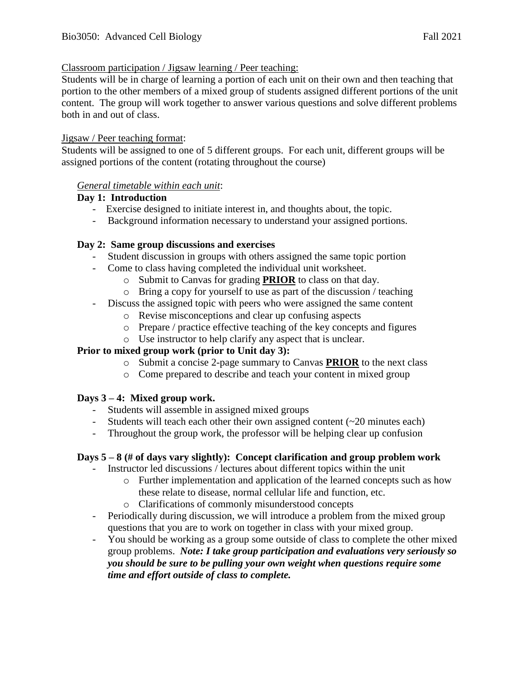#### Classroom participation / Jigsaw learning / Peer teaching:

Students will be in charge of learning a portion of each unit on their own and then teaching that portion to the other members of a mixed group of students assigned different portions of the unit content. The group will work together to answer various questions and solve different problems both in and out of class.

#### Jigsaw / Peer teaching format:

Students will be assigned to one of 5 different groups. For each unit, different groups will be assigned portions of the content (rotating throughout the course)

#### *General timetable within each unit*:

#### **Day 1: Introduction**

- Exercise designed to initiate interest in, and thoughts about, the topic.
- Background information necessary to understand your assigned portions.

#### **Day 2: Same group discussions and exercises**

- Student discussion in groups with others assigned the same topic portion
- Come to class having completed the individual unit worksheet.
	- o Submit to Canvas for grading **PRIOR** to class on that day.
	- o Bring a copy for yourself to use as part of the discussion / teaching
- Discuss the assigned topic with peers who were assigned the same content
	- o Revise misconceptions and clear up confusing aspects
	- o Prepare / practice effective teaching of the key concepts and figures
	- o Use instructor to help clarify any aspect that is unclear.

#### **Prior to mixed group work (prior to Unit day 3):**

- o Submit a concise 2-page summary to Canvas **PRIOR** to the next class
- o Come prepared to describe and teach your content in mixed group

#### **Days 3 – 4: Mixed group work.**

- Students will assemble in assigned mixed groups
- Students will teach each other their own assigned content (~20 minutes each)
- Throughout the group work, the professor will be helping clear up confusion

#### **Days 5 – 8 (# of days vary slightly): Concept clarification and group problem work**

- Instructor led discussions / lectures about different topics within the unit
	- o Further implementation and application of the learned concepts such as how these relate to disease, normal cellular life and function, etc.
	- o Clarifications of commonly misunderstood concepts
- Periodically during discussion, we will introduce a problem from the mixed group questions that you are to work on together in class with your mixed group.
- You should be working as a group some outside of class to complete the other mixed group problems. *Note: I take group participation and evaluations very seriously so you should be sure to be pulling your own weight when questions require some time and effort outside of class to complete.*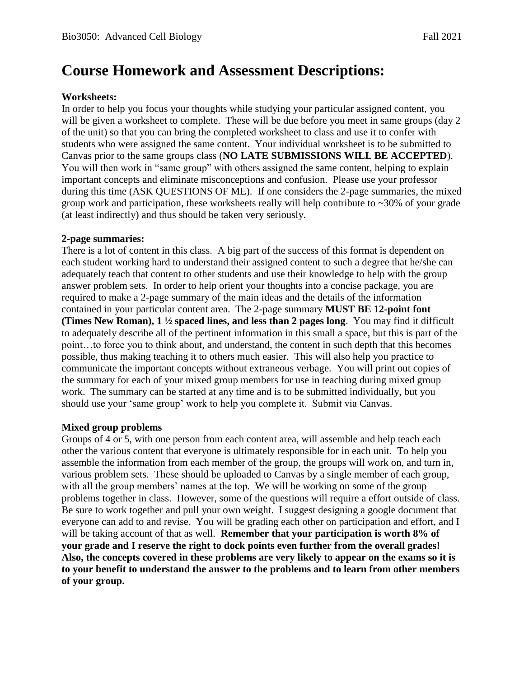# **Course Homework and Assessment Descriptions:**

#### **Worksheets:**

In order to help you focus your thoughts while studying your particular assigned content, you will be given a worksheet to complete. These will be due before you meet in same groups (day 2) of the unit) so that you can bring the completed worksheet to class and use it to confer with students who were assigned the same content. Your individual worksheet is to be submitted to Canvas prior to the same groups class (**NO LATE SUBMISSIONS WILL BE ACCEPTED**). You will then work in "same group" with others assigned the same content, helping to explain important concepts and eliminate misconceptions and confusion. Please use your professor during this time (ASK QUESTIONS OF ME). If one considers the 2-page summaries, the mixed group work and participation, these worksheets really will help contribute to  $\sim$ 30% of your grade (at least indirectly) and thus should be taken very seriously.

#### **2-page summaries:**

There is a lot of content in this class. A big part of the success of this format is dependent on each student working hard to understand their assigned content to such a degree that he/she can adequately teach that content to other students and use their knowledge to help with the group answer problem sets. In order to help orient your thoughts into a concise package, you are required to make a 2-page summary of the main ideas and the details of the information contained in your particular content area. The 2-page summary **MUST BE 12-point font (Times New Roman), 1 ½ spaced lines, and less than 2 pages long**. You may find it difficult to adequately describe all of the pertinent information in this small a space, but this is part of the point…to force you to think about, and understand, the content in such depth that this becomes possible, thus making teaching it to others much easier. This will also help you practice to communicate the important concepts without extraneous verbage. You will print out copies of the summary for each of your mixed group members for use in teaching during mixed group work. The summary can be started at any time and is to be submitted individually, but you should use your 'same group' work to help you complete it. Submit via Canvas.

#### **Mixed group problems**

Groups of 4 or 5, with one person from each content area, will assemble and help teach each other the various content that everyone is ultimately responsible for in each unit. To help you assemble the information from each member of the group, the groups will work on, and turn in, various problem sets. These should be uploaded to Canvas by a single member of each group, with all the group members' names at the top. We will be working on some of the group problems together in class. However, some of the questions will require a effort outside of class. Be sure to work together and pull your own weight. I suggest designing a google document that everyone can add to and revise. You will be grading each other on participation and effort, and I will be taking account of that as well. **Remember that your participation is worth 8% of your grade and I reserve the right to dock points even further from the overall grades! Also, the concepts covered in these problems are very likely to appear on the exams so it is to your benefit to understand the answer to the problems and to learn from other members of your group.**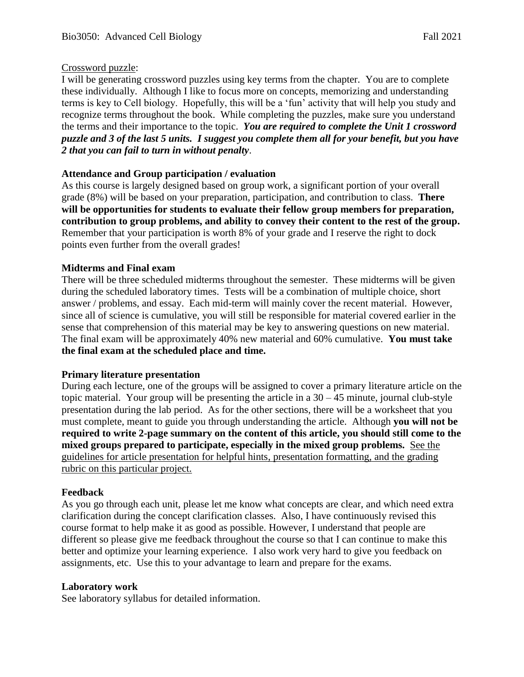#### Crossword puzzle:

I will be generating crossword puzzles using key terms from the chapter. You are to complete these individually. Although I like to focus more on concepts, memorizing and understanding terms is key to Cell biology. Hopefully, this will be a 'fun' activity that will help you study and recognize terms throughout the book. While completing the puzzles, make sure you understand the terms and their importance to the topic. *You are required to complete the Unit 1 crossword puzzle and 3 of the last 5 units. I suggest you complete them all for your benefit, but you have 2 that you can fail to turn in without penalty*.

#### **Attendance and Group participation / evaluation**

As this course is largely designed based on group work, a significant portion of your overall grade (8%) will be based on your preparation, participation, and contribution to class. **There will be opportunities for students to evaluate their fellow group members for preparation, contribution to group problems, and ability to convey their content to the rest of the group.**  Remember that your participation is worth 8% of your grade and I reserve the right to dock points even further from the overall grades!

#### **Midterms and Final exam**

There will be three scheduled midterms throughout the semester. These midterms will be given during the scheduled laboratory times. Tests will be a combination of multiple choice, short answer / problems, and essay. Each mid-term will mainly cover the recent material. However, since all of science is cumulative, you will still be responsible for material covered earlier in the sense that comprehension of this material may be key to answering questions on new material. The final exam will be approximately 40% new material and 60% cumulative. **You must take the final exam at the scheduled place and time.** 

#### **Primary literature presentation**

During each lecture, one of the groups will be assigned to cover a primary literature article on the topic material. Your group will be presenting the article in a  $30 - 45$  minute, journal club-style presentation during the lab period. As for the other sections, there will be a worksheet that you must complete, meant to guide you through understanding the article. Although **you will not be required to write 2-page summary on the content of this article, you should still come to the mixed groups prepared to participate, especially in the mixed group problems.** See the guidelines for article presentation for helpful hints, presentation formatting, and the grading rubric on this particular project.

#### **Feedback**

As you go through each unit, please let me know what concepts are clear, and which need extra clarification during the concept clarification classes. Also, I have continuously revised this course format to help make it as good as possible. However, I understand that people are different so please give me feedback throughout the course so that I can continue to make this better and optimize your learning experience. I also work very hard to give you feedback on assignments, etc. Use this to your advantage to learn and prepare for the exams.

#### **Laboratory work**

See laboratory syllabus for detailed information.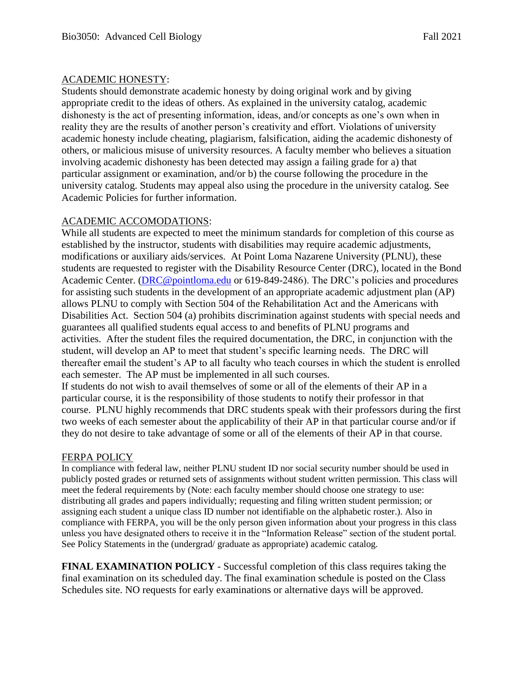#### ACADEMIC HONESTY:

Students should demonstrate academic honesty by doing original work and by giving appropriate credit to the ideas of others. As explained in the university catalog, academic dishonesty is the act of presenting information, ideas, and/or concepts as one's own when in reality they are the results of another person's creativity and effort. Violations of university academic honesty include cheating, plagiarism, falsification, aiding the academic dishonesty of others, or malicious misuse of university resources. A faculty member who believes a situation involving academic dishonesty has been detected may assign a failing grade for a) that particular assignment or examination, and/or b) the course following the procedure in the university catalog. Students may appeal also using the procedure in the university catalog. See Academic Policies for further information.

#### ACADEMIC ACCOMODATIONS:

While all students are expected to meet the minimum standards for completion of this course as established by the instructor, students with disabilities may require academic adjustments, modifications or auxiliary aids/services. At Point Loma Nazarene University (PLNU), these students are requested to register with the Disability Resource Center (DRC), located in the Bond Academic Center. [\(DRC@pointloma.edu](mailto:DRC@pointloma.edu) or 619-849-2486). The DRC's policies and procedures for assisting such students in the development of an appropriate academic adjustment plan (AP) allows PLNU to comply with Section 504 of the Rehabilitation Act and the Americans with Disabilities Act. Section 504 (a) prohibits discrimination against students with special needs and guarantees all qualified students equal access to and benefits of PLNU programs and activities. After the student files the required documentation, the DRC, in conjunction with the student, will develop an AP to meet that student's specific learning needs. The DRC will thereafter email the student's AP to all faculty who teach courses in which the student is enrolled each semester. The AP must be implemented in all such courses.

If students do not wish to avail themselves of some or all of the elements of their AP in a particular course, it is the responsibility of those students to notify their professor in that course. PLNU highly recommends that DRC students speak with their professors during the first two weeks of each semester about the applicability of their AP in that particular course and/or if they do not desire to take advantage of some or all of the elements of their AP in that course.

#### FERPA POLICY

In compliance with federal law, neither PLNU student ID nor social security number should be used in publicly posted grades or returned sets of assignments without student written permission. This class will meet the federal requirements by (Note: each faculty member should choose one strategy to use: distributing all grades and papers individually; requesting and filing written student permission; or assigning each student a unique class ID number not identifiable on the alphabetic roster.). Also in compliance with FERPA, you will be the only person given information about your progress in this class unless you have designated others to receive it in the "Information Release" section of the student portal. See Policy Statements in the (undergrad/ graduate as appropriate) academic catalog.

**FINAL EXAMINATION POLICY** - Successful completion of this class requires taking the final examination on its scheduled day. The final examination schedule is posted on the Class Schedules site. NO requests for early examinations or alternative days will be approved.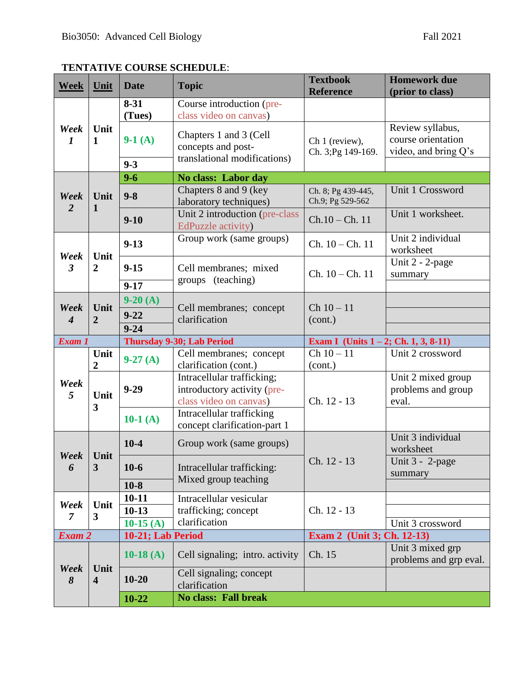### **TENTATIVE COURSE SCHEDULE**:

| <b>Week</b>                                      | Unit                                | <b>Date</b>                                                                         | <b>Topic</b>                                                            | <b>Textbook</b><br><b>Reference</b>               | <b>Homework due</b><br>(prior to class)                        |
|--------------------------------------------------|-------------------------------------|-------------------------------------------------------------------------------------|-------------------------------------------------------------------------|---------------------------------------------------|----------------------------------------------------------------|
| Week<br>$\mathbf{1}$<br>$\boldsymbol{l}$         |                                     | $8 - 31$<br>(Tues)                                                                  | Course introduction (pre-<br>class video on canvas)                     |                                                   |                                                                |
|                                                  | Unit                                | $9-1(A)$                                                                            | Chapters 1 and 3 (Cell<br>concepts and post-                            | Ch 1 (review),<br>Ch. 3; Pg 149-169.              | Review syllabus,<br>course orientation<br>video, and bring Q's |
|                                                  |                                     | $9 - 3$                                                                             | translational modifications)                                            |                                                   |                                                                |
|                                                  |                                     | $9 - 6$                                                                             | No class: Labor day                                                     |                                                   |                                                                |
| Week<br>$\overline{2}$                           | Unit<br>$\mathbf{1}$                | $9 - 8$                                                                             | Chapters 8 and 9 (key<br>laboratory techniques)                         | Ch. 8; Pg 439-445,<br>Ch.9; Pg 529-562            | Unit 1 Crossword                                               |
|                                                  |                                     | $9 - 10$                                                                            | Unit 2 introduction (pre-class<br>EdPuzzle activity)                    | $Ch.10 - Ch.11$                                   | Unit 1 worksheet.                                              |
| Unit<br>Week<br>$\mathfrak{Z}$<br>$\overline{2}$ |                                     | $9 - 13$                                                                            | Group work (same groups)                                                | $Ch. 10 - Ch. 11$                                 | Unit 2 individual<br>worksheet                                 |
|                                                  |                                     | $9 - 15$                                                                            | Cell membranes; mixed<br>groups (teaching)                              | $Ch. 10 - Ch. 11$                                 | Unit 2 - 2-page<br>summary                                     |
|                                                  |                                     | $9 - 17$                                                                            |                                                                         |                                                   |                                                                |
| Week                                             | Unit                                | $9-20(A)$<br>$9 - 22$                                                               | Cell membranes; concept                                                 | $Ch 10 - 11$<br>(cont.)                           |                                                                |
| $\overline{4}$                                   | $\overline{2}$                      | $9 - 24$                                                                            | clarification                                                           |                                                   |                                                                |
| Exam 1                                           |                                     | <b>Thursday 9-30; Lab Period</b>                                                    |                                                                         | Exam I (Units $1 - 2$ ; Ch. 1, 3, 8-11)           |                                                                |
|                                                  | Unit                                | Cell membranes; concept                                                             | $Ch 10 - 11$                                                            | Unit 2 crossword                                  |                                                                |
|                                                  | $\overline{2}$                      | $9-27(A)$                                                                           | clarification (cont.)                                                   | (cont.)                                           |                                                                |
| Week<br>5                                        | $9 - 29$<br>Unit<br>3<br>10-1 $(A)$ | Intracellular trafficking;<br>introductory activity (pre-<br>class video on canvas) | Ch. 12 - 13                                                             | Unit 2 mixed group<br>problems and group<br>eval. |                                                                |
|                                                  |                                     |                                                                                     | Intracellular trafficking<br>concept clarification-part 1               |                                                   |                                                                |
| Week Unit<br>6                                   | $\overline{\mathbf{3}}$             | $10-4$                                                                              | Group work (same groups)                                                |                                                   | Unit 3 individual<br>worksheet                                 |
|                                                  |                                     | $10-6$                                                                              | Intracellular trafficking:                                              | Ch. 12 - 13                                       | Unit $3 - 2$ -page                                             |
|                                                  |                                     |                                                                                     |                                                                         |                                                   | summary                                                        |
|                                                  |                                     | $10-8$                                                                              | Mixed group teaching                                                    |                                                   |                                                                |
|                                                  |                                     | $10 - 11$                                                                           | Intracellular vesicular                                                 |                                                   |                                                                |
| Week                                             | Unit                                | $10-13$                                                                             | trafficking; concept                                                    | Ch. 12 - 13                                       |                                                                |
| $\overline{7}$                                   | 3                                   | 10-15 $(A)$                                                                         | clarification                                                           |                                                   | Unit 3 crossword                                               |
| Exam 2                                           |                                     | 10-21; Lab Period                                                                   |                                                                         | Exam 2 (Unit 3; Ch. 12-13)                        |                                                                |
|                                                  |                                     | 10-18 $(A)$                                                                         | Cell signaling; intro. activity                                         | Ch. 15                                            | Unit 3 mixed grp<br>problems and grp eval.                     |
| Week<br>8                                        | Unit<br>$\overline{\mathbf{4}}$     | $10 - 20$<br>$10 - 22$                                                              | Cell signaling; concept<br>clarification<br><b>No class: Fall break</b> |                                                   |                                                                |